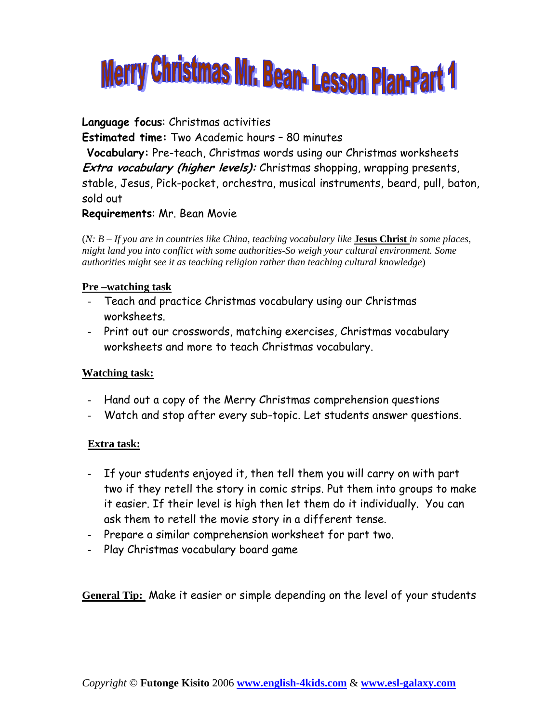# Merry Christmas Mr. Bean-Lesson Plan-Part 1

#### **Language focus**: Christmas activities

**Estimated time:** Two Academic hours – 80 minutes

 **Vocabulary:** Pre-teach, Christmas words using our Christmas worksheets **Extra vocabulary (higher levels):** Christmas shopping, wrapping presents, stable, Jesus, Pick-pocket, orchestra, musical instruments, beard, pull, baton, sold out

#### **Requirements**: Mr. Bean Movie

(*N: B – If you are in countries like China, teaching vocabulary like* **Jesus Christ** *in some places, might land you into conflict with some authorities-So weigh your cultural environment. Some authorities might see it as teaching religion rather than teaching cultural knowledge*)

#### **Pre –watching task**

- Teach and practice Christmas vocabulary using our Christmas worksheets.
- Print out our crosswords, matching exercises, Christmas vocabulary worksheets and more to teach Christmas vocabulary.

#### **Watching task:**

- Hand out a copy of the Merry Christmas comprehension questions
- Watch and stop after every sub-topic. Let students answer questions.

#### **Extra task:**

- If your students enjoyed it, then tell them you will carry on with part two if they retell the story in comic strips. Put them into groups to make it easier. If their level is high then let them do it individually. You can ask them to retell the movie story in a different tense.
- Prepare a similar comprehension worksheet for part two.
- Play Christmas vocabulary board game

**General Tip:** Make it easier or simple depending on the level of your students